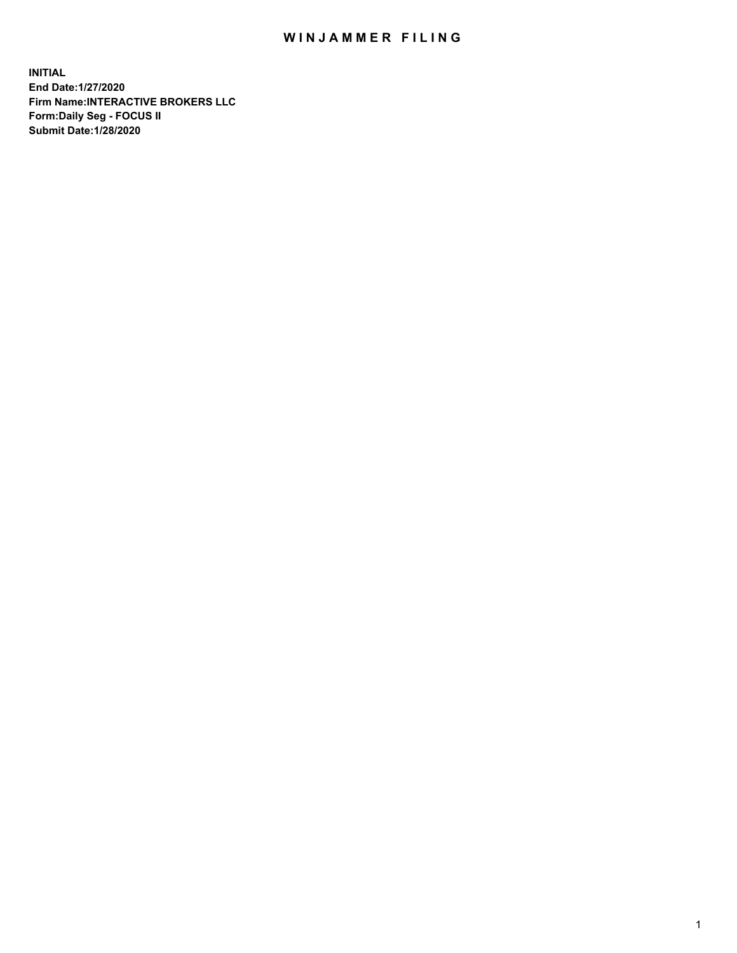## WIN JAMMER FILING

**INITIAL End Date:1/27/2020 Firm Name:INTERACTIVE BROKERS LLC Form:Daily Seg - FOCUS II Submit Date:1/28/2020**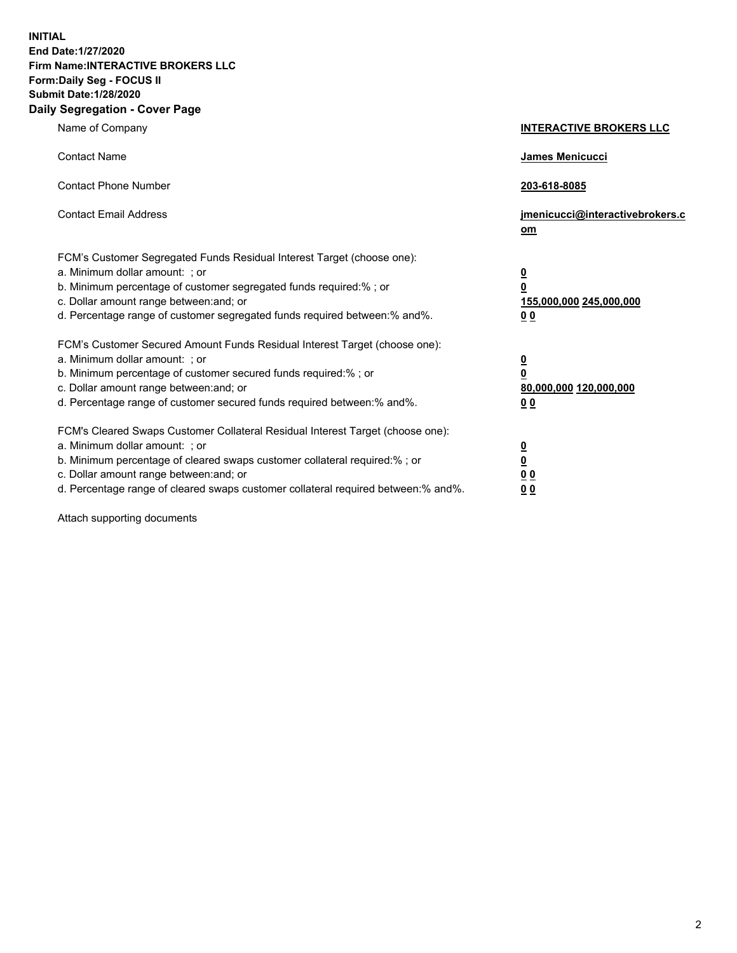**INITIAL End Date:1/27/2020 Firm Name:INTERACTIVE BROKERS LLC Form:Daily Seg - FOCUS II Submit Date:1/28/2020 Daily Segregation - Cover Page**

| Name of Company                                                                                                                                                                                                                                                                                                                | <b>INTERACTIVE BROKERS LLC</b>                                                                  |
|--------------------------------------------------------------------------------------------------------------------------------------------------------------------------------------------------------------------------------------------------------------------------------------------------------------------------------|-------------------------------------------------------------------------------------------------|
| <b>Contact Name</b>                                                                                                                                                                                                                                                                                                            | <b>James Menicucci</b>                                                                          |
| <b>Contact Phone Number</b>                                                                                                                                                                                                                                                                                                    | 203-618-8085                                                                                    |
| <b>Contact Email Address</b>                                                                                                                                                                                                                                                                                                   | jmenicucci@interactivebrokers.c<br>om                                                           |
| FCM's Customer Segregated Funds Residual Interest Target (choose one):<br>a. Minimum dollar amount: ; or<br>b. Minimum percentage of customer segregated funds required:% ; or<br>c. Dollar amount range between: and; or<br>d. Percentage range of customer segregated funds required between:% and%.                         | $\overline{\mathbf{0}}$<br>$\overline{\mathbf{0}}$<br>155,000,000 245,000,000<br>0 <sub>0</sub> |
| FCM's Customer Secured Amount Funds Residual Interest Target (choose one):<br>a. Minimum dollar amount: ; or<br>b. Minimum percentage of customer secured funds required:% ; or<br>c. Dollar amount range between: and; or<br>d. Percentage range of customer secured funds required between:% and%.                           | $\overline{\mathbf{0}}$<br>$\overline{\mathbf{0}}$<br>80,000,000 120,000,000<br><u>00</u>       |
| FCM's Cleared Swaps Customer Collateral Residual Interest Target (choose one):<br>a. Minimum dollar amount: ; or<br>b. Minimum percentage of cleared swaps customer collateral required:% ; or<br>c. Dollar amount range between: and; or<br>d. Percentage range of cleared swaps customer collateral required between:% and%. | <u>0</u><br>$\underline{\mathbf{0}}$<br>$\underline{0}$ $\underline{0}$<br>0 Q                  |

Attach supporting documents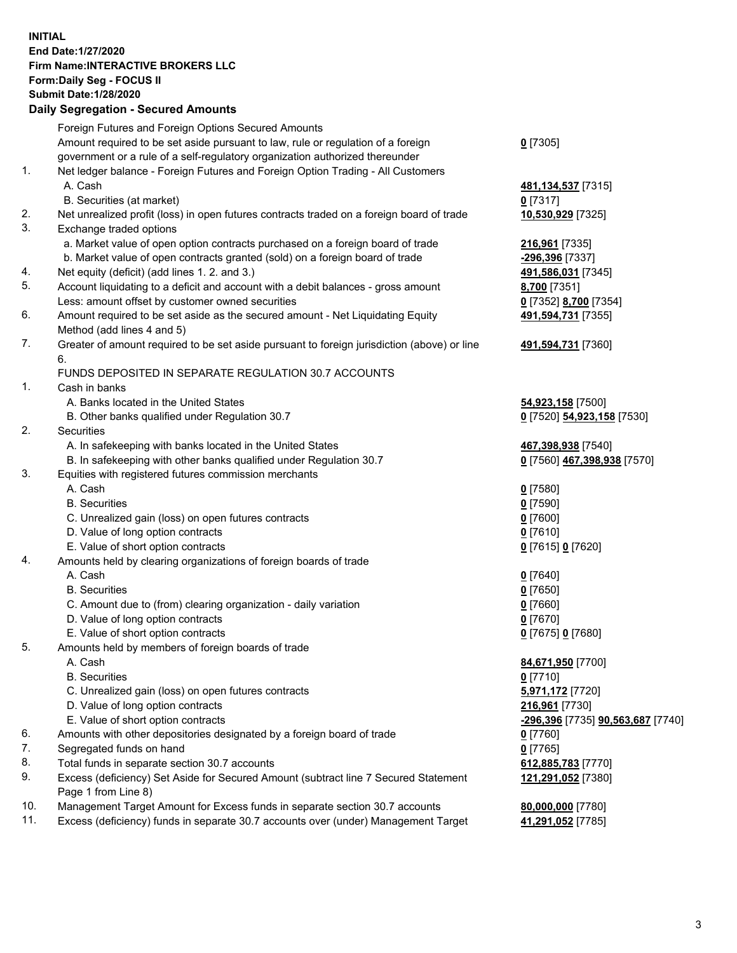**INITIAL End Date:1/27/2020 Firm Name:INTERACTIVE BROKERS LLC Form:Daily Seg - FOCUS II Submit Date:1/28/2020 Daily Segregation - Secured Amounts**

|     | Foreign Futures and Foreign Options Secured Amounts                                         |                                                 |
|-----|---------------------------------------------------------------------------------------------|-------------------------------------------------|
|     | Amount required to be set aside pursuant to law, rule or regulation of a foreign            | $0$ [7305]                                      |
|     | government or a rule of a self-regulatory organization authorized thereunder                |                                                 |
| 1.  | Net ledger balance - Foreign Futures and Foreign Option Trading - All Customers             |                                                 |
|     | A. Cash                                                                                     | 481, 134, 537 [7315]                            |
|     | B. Securities (at market)                                                                   | $0$ [7317]                                      |
| 2.  | Net unrealized profit (loss) in open futures contracts traded on a foreign board of trade   | 10,530,929 [7325]                               |
| 3.  | Exchange traded options                                                                     |                                                 |
|     | a. Market value of open option contracts purchased on a foreign board of trade              | 216,961 [7335]                                  |
|     | b. Market value of open contracts granted (sold) on a foreign board of trade                | -296,396 [7337]                                 |
| 4.  | Net equity (deficit) (add lines 1. 2. and 3.)                                               | 491,586,031 [7345]                              |
| 5.  | Account liquidating to a deficit and account with a debit balances - gross amount           | 8,700 [7351]                                    |
|     | Less: amount offset by customer owned securities                                            | 0 [7352] 8,700 [7354]                           |
| 6.  | Amount required to be set aside as the secured amount - Net Liquidating Equity              | 491,594,731 [7355]                              |
|     | Method (add lines 4 and 5)                                                                  |                                                 |
| 7.  | Greater of amount required to be set aside pursuant to foreign jurisdiction (above) or line | 491,594,731 [7360]                              |
|     | 6.                                                                                          |                                                 |
|     | FUNDS DEPOSITED IN SEPARATE REGULATION 30.7 ACCOUNTS                                        |                                                 |
| 1.  | Cash in banks                                                                               |                                                 |
|     | A. Banks located in the United States                                                       | 54,923,158 [7500]                               |
|     | B. Other banks qualified under Regulation 30.7                                              | 0 [7520] 54,923,158 [7530]                      |
| 2.  | <b>Securities</b>                                                                           |                                                 |
|     | A. In safekeeping with banks located in the United States                                   | 467,398,938 [7540]                              |
|     | B. In safekeeping with other banks qualified under Regulation 30.7                          | 0 [7560] 467,398,938 [7570]                     |
| 3.  | Equities with registered futures commission merchants                                       |                                                 |
|     | A. Cash                                                                                     | $0$ [7580]                                      |
|     | <b>B.</b> Securities                                                                        | $0$ [7590]                                      |
|     | C. Unrealized gain (loss) on open futures contracts                                         | $0$ [7600]                                      |
|     | D. Value of long option contracts                                                           | $0$ [7610]                                      |
|     | E. Value of short option contracts                                                          | 0 [7615] 0 [7620]                               |
| 4.  | Amounts held by clearing organizations of foreign boards of trade                           |                                                 |
|     | A. Cash                                                                                     | $0$ [7640]                                      |
|     | <b>B.</b> Securities                                                                        | $0$ [7650]                                      |
|     | C. Amount due to (from) clearing organization - daily variation                             | $0$ [7660]                                      |
|     | D. Value of long option contracts                                                           | $0$ [7670]                                      |
|     | E. Value of short option contracts                                                          | 0 [7675] 0 [7680]                               |
| 5.  | Amounts held by members of foreign boards of trade                                          |                                                 |
|     | A. Cash                                                                                     | 84,671,950 [7700]                               |
|     | <b>B.</b> Securities                                                                        | $0$ [7710]                                      |
|     | C. Unrealized gain (loss) on open futures contracts                                         | 5,971,172 [7720]                                |
|     | D. Value of long option contracts                                                           | 216,961 [7730]                                  |
|     | E. Value of short option contracts                                                          | <u>-296,396</u> [7735] <b>90,563,687</b> [7740] |
| 6.  | Amounts with other depositories designated by a foreign board of trade                      | $0$ [7760]                                      |
| 7.  | Segregated funds on hand                                                                    | $0$ [7765]                                      |
| 8.  | Total funds in separate section 30.7 accounts                                               | 612,885,783 [7770]                              |
| 9.  | Excess (deficiency) Set Aside for Secured Amount (subtract line 7 Secured Statement         | 121,291,052 [7380]                              |
|     | Page 1 from Line 8)                                                                         |                                                 |
| 10. | Management Target Amount for Excess funds in separate section 30.7 accounts                 | 80,000,000 [7780]                               |
| 11. | Excess (deficiency) funds in separate 30.7 accounts over (under) Management Target          | 41,291,052 [7785]                               |
|     |                                                                                             |                                                 |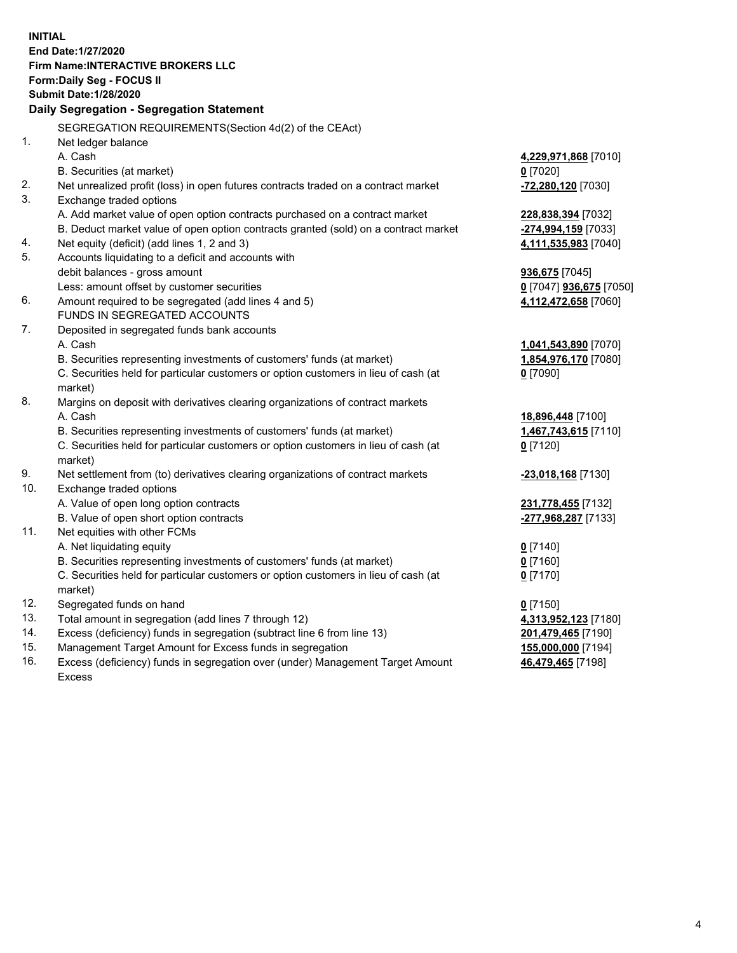**INITIAL End Date:1/27/2020 Firm Name:INTERACTIVE BROKERS LLC Form:Daily Seg - FOCUS II Submit Date:1/28/2020 Daily Segregation - Segregation Statement** SEGREGATION REQUIREMENTS(Section 4d(2) of the CEAct) 1. Net ledger balance A. Cash **4,229,971,868** [7010] B. Securities (at market) **0** [7020] 2. Net unrealized profit (loss) in open futures contracts traded on a contract market **-72,280,120** [7030] 3. Exchange traded options A. Add market value of open option contracts purchased on a contract market **228,838,394** [7032] B. Deduct market value of open option contracts granted (sold) on a contract market **-274,994,159** [7033] 4. Net equity (deficit) (add lines 1, 2 and 3) **4,111,535,983** [7040] 5. Accounts liquidating to a deficit and accounts with debit balances - gross amount **936,675** [7045] Less: amount offset by customer securities **0** [7047] **936,675** [7050] 6. Amount required to be segregated (add lines 4 and 5) **4,112,472,658** [7060] FUNDS IN SEGREGATED ACCOUNTS 7. Deposited in segregated funds bank accounts A. Cash **1,041,543,890** [7070] B. Securities representing investments of customers' funds (at market) **1,854,976,170** [7080] C. Securities held for particular customers or option customers in lieu of cash (at market) **0** [7090] 8. Margins on deposit with derivatives clearing organizations of contract markets A. Cash **18,896,448** [7100] B. Securities representing investments of customers' funds (at market) **1,467,743,615** [7110] C. Securities held for particular customers or option customers in lieu of cash (at market) **0** [7120] 9. Net settlement from (to) derivatives clearing organizations of contract markets **-23,018,168** [7130] 10. Exchange traded options A. Value of open long option contracts **231,778,455** [7132] B. Value of open short option contracts **-277,968,287** [7133] 11. Net equities with other FCMs A. Net liquidating equity **0** [7140] B. Securities representing investments of customers' funds (at market) **0** [7160] C. Securities held for particular customers or option customers in lieu of cash (at market) **0** [7170] 12. Segregated funds on hand **0** [7150] 13. Total amount in segregation (add lines 7 through 12) **4,313,952,123** [7180] 14. Excess (deficiency) funds in segregation (subtract line 6 from line 13) **201,479,465** [7190] 15. Management Target Amount for Excess funds in segregation **155,000,000** [7194] 16. Excess (deficiency) funds in segregation over (under) Management Target Amount **46,479,465** [7198]

Excess